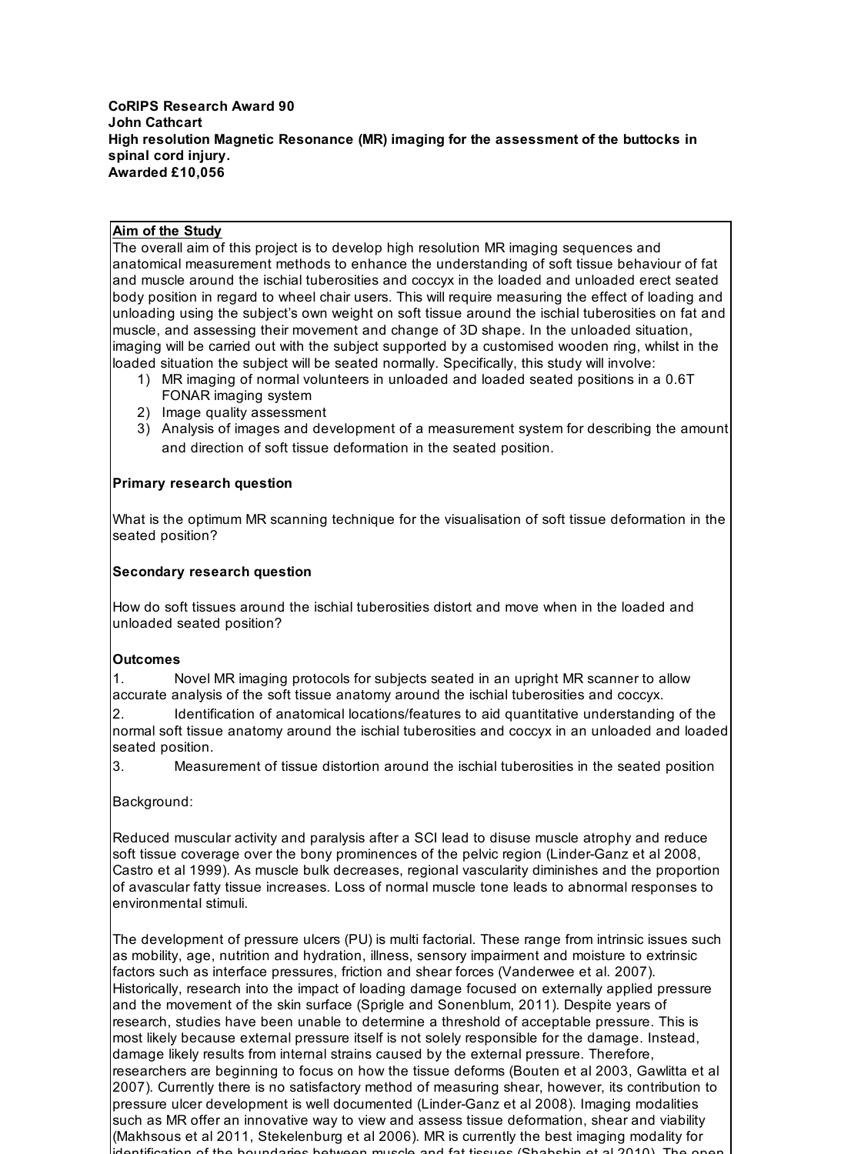#### **CoRIPS Research Award 90 John Cathcart High resolution Magnetic Resonance (MR) imaging for the assessment of the buttocks in spinal cord injury. Awarded £10,056**

## **Aim of the Study**

The overall aim of this project is to develop high resolution MR imaging sequences and anatomical measurement methods to enhance the understanding of soft tissue behaviour of fat and muscle around the ischial tuberosities and coccyx in the loaded and unloaded erect seated body position in regard to wheel chair users. This will require measuring the effect of loading and unloading using the subject's own weight on soft tissue around the ischial tuberosities on fat and muscle, and assessing their movement and change of 3D shape. In the unloaded situation, imaging will be carried out with the subject supported by a customised wooden ring, whilst in the loaded situation the subject will be seated normally. Specifically, this study will involve:

- MR imaging of normal volunteers in unloaded and loaded seated positions in a 0.6T 1) FONAR imaging system
- 2) Image quality assessment
- 3) Analysis of images and development of a measurement system for describing the amount and direction of soft tissue deformation in the seated position.

# **Primary research question**

What is the optimum MR scanning technique for the visualisation of soft tissue deformation in the seated position?

## **Secondary research question**

How do soft tissues around the ischial tuberosities distort and move when in the loaded and unloaded seated position?

### **Outcomes**

1. Novel MR imaging protocols for subjects seated in an upright MR scanner to allow accurate analysis of the soft tissue anatomy around the ischial tuberosities and coccyx.

2. Identification of anatomical locations/features to aid quantitative understanding of the normal soft tissue anatomy around the ischial tuberosities and coccyx in an unloaded and loaded seated position.

3. Measurement of tissue distortion around the ischial tuberosities in the seated position

Background:

Reduced muscular activity and paralysis after a SCI lead to disuse muscle atrophy and reduce soft tissue coverage over the bony prominences of the pelvic region (Linder-Ganz et al 2008, Castro et al 1999). As muscle bulk decreases, regional vascularity diminishes and the proportion of avascular fatty tissue increases. Loss of normal muscle tone leads to abnormal responses to environmental stimuli.

The development of pressure ulcers (PU) is multi factorial. These range from intrinsic issues such as mobility, age, nutrition and hydration, illness, sensory impairment and moisture to extrinsic factors such as interface pressures, friction and shear forces (Vanderwee et al. 2007). Historically, research into the impact of loading damage focused on externally applied pressure and the movement of the skin surface (Sprigle and Sonenblum, 2011). Despite years of research, studies have been unable to determine a threshold of acceptable pressure. This is most likely because external pressure itself is not solely responsible for the damage. Instead, damage likely results from internal strains caused by the external pressure. Therefore, researchers are beginning to focus on how the tissue deforms (Bouten et al 2003, Gawlitta et al 2007). Currently there is no satisfactory method of measuring shear, however, its contribution to pressure ulcer development is well documented (Linder-Ganz et al 2008). Imaging modalities such as MR offer an innovative way to view and assess tissue deformation, shear and viability (Makhsous et al 2011, Stekelenburg et al 2006). MR is currently the best imaging modality for contification of the boundaries between muscle and fat tissues (Shabshin et al 2010).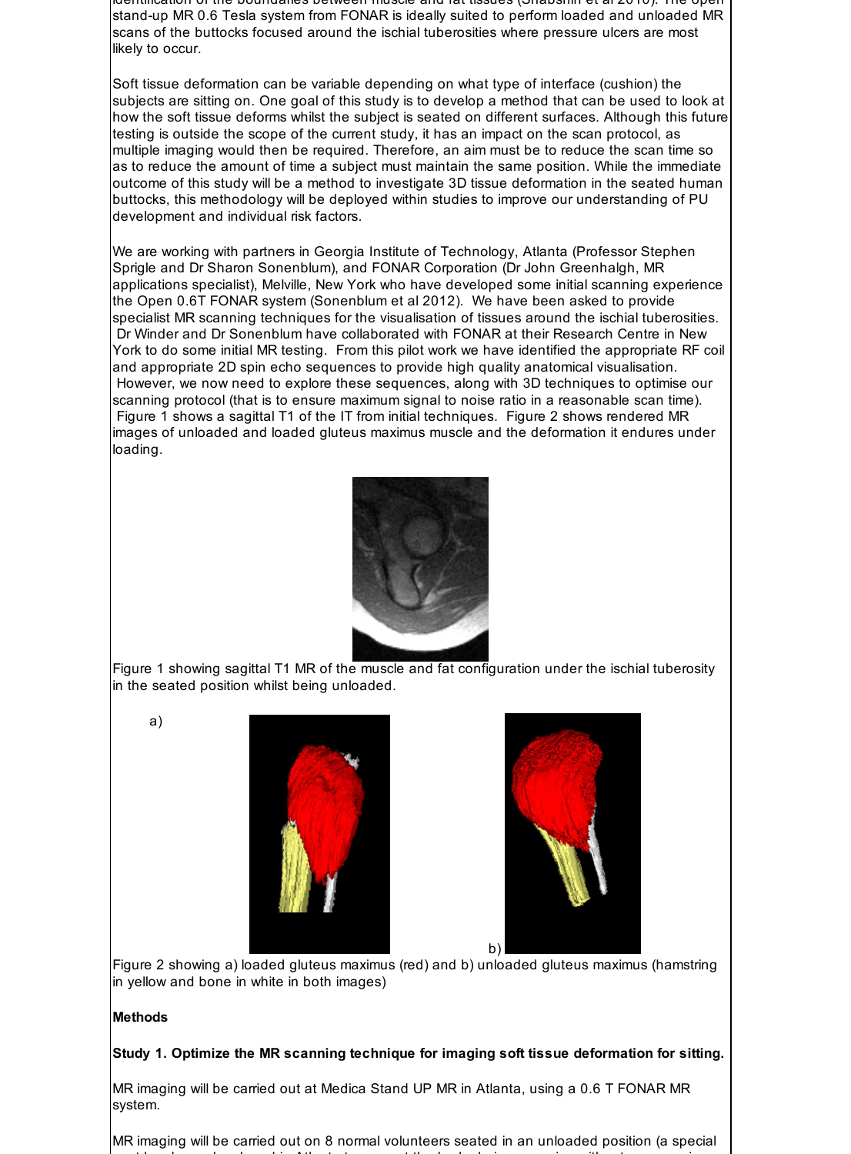identification of the boundaries between muscle and fat tissues (Shabshin et al 2010). The open stand-up MR 0.6 Tesla system from FONAR is ideally suited to perform loaded and unloaded MR scans of the buttocks focused around the ischial tuberosities where pressure ulcers are most likely to occur.

Soft tissue deformation can be variable depending on what type of interface (cushion) the subjects are sitting on. One goal of this study is to develop a method that can be used to look at how the soft tissue deforms whilst the subject is seated on different surfaces. Although this future testing is outside the scope of the current study, it has an impact on the scan protocol, as multiple imaging would then be required. Therefore, an aim must be to reduce the scan time so as to reduce the amount of time a subject must maintain the same position. While the immediate outcome of this study will be a method to investigate 3D tissue deformation in the seated human buttocks, this methodology will be deployed within studies to improve our understanding of PU development and individual risk factors.

We are working with partners in Georgia Institute of Technology, Atlanta (Professor Stephen Sprigle and Dr Sharon Sonenblum), and FONAR Corporation (Dr John Greenhalgh, MR applications specialist), Melville, New York who have developed some initial scanning experience the Open 0.6T FONAR system (Sonenblum et al 2012). We have been asked to provide specialist MR scanning techniques for the visualisation of tissues around the ischial tuberosities. Dr Winder and Dr Sonenblum have collaborated with FONAR at their Research Centre in New York to do some initial MR testing. From this pilot work we have identified the appropriate RF coil and appropriate 2D spin echo sequences to provide high quality anatomical visualisation. However, we now need to explore these sequences, along with 3D techniques to optimise our scanning protocol (that is to ensure maximum signal to noise ratio in a reasonable scan time). Figure 1 shows a sagittal T1 of the IT from initial techniques. Figure 2 shows rendered MR images of unloaded and loaded gluteus maximus muscle and the deformation it endures under loading.



Figure 1 showing sagittal T1 MR of the muscle and fat configuration under the ischial tuberosity in the seated position whilst being unloaded.

a)





Figure 2 showing a) loaded gluteus maximus (red) and b) unloaded gluteus maximus (hamstring in yellow and bone in white in both images)

### **Methods**

### **Study 1. Optimize the MR scanning technique for imaging soft tissue deformation for sitting.**

MR imaging will be carried out at Medica Stand UP MR in Atlanta, using a 0.6 T FONAR MR system.

MR imaging will be carried out on 8 normal volunteers seated in an unloaded position (a special seat has been developed in Atlanta to support the body during scanning without compressing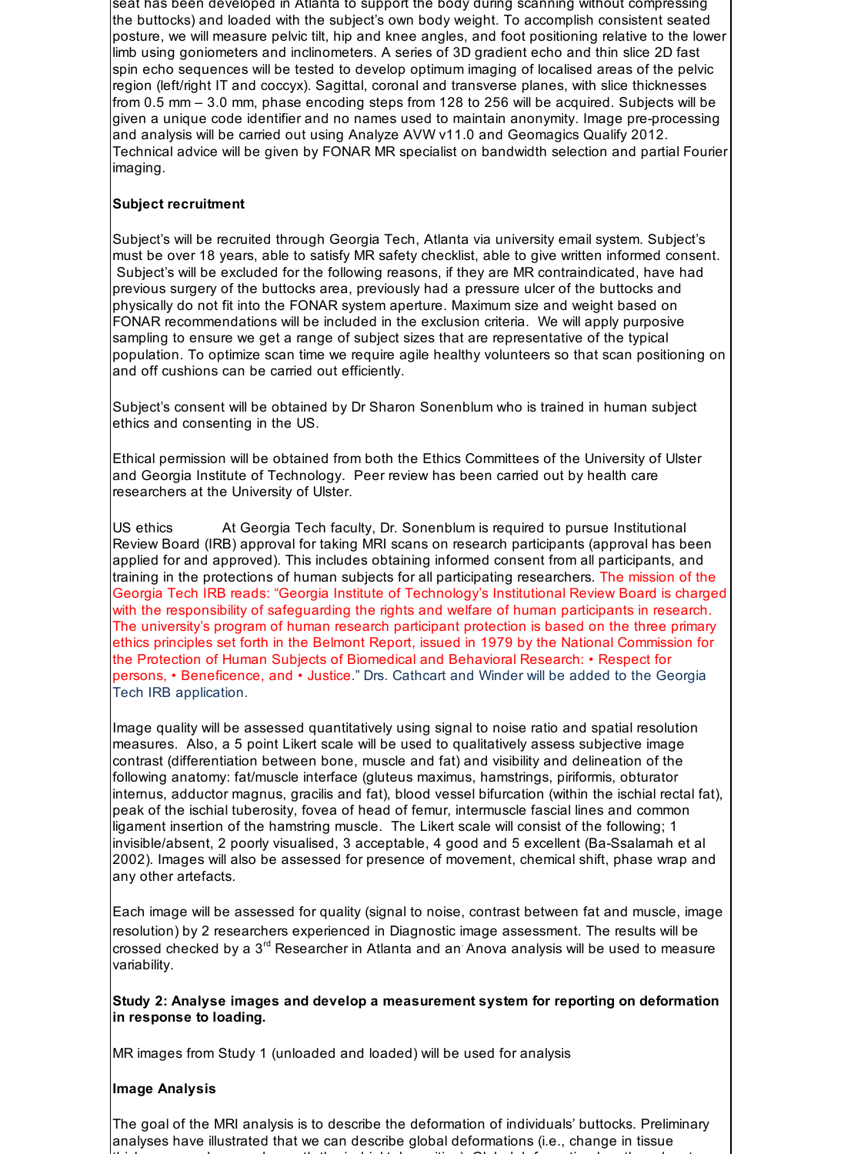seat has been developed in Atlanta to support the body during scanning without compressing the buttocks) and loaded with the subject's own body weight. To accomplish consistent seated posture, we will measure pelvic tilt, hip and knee angles, and foot positioning relative to the lower limb using goniometers and inclinometers. A series of 3D gradient echo and thin slice 2D fast spin echo sequences will be tested to develop optimum imaging of localised areas of the pelvic region (left/right IT and coccyx). Sagittal, coronal and transverse planes, with slice thicknesses from 0.5 mm – 3.0 mm, phase encoding steps from 128 to 256 will be acquired. Subjects will be given a unique code identifier and no names used to maintain anonymity. Image pre-processing and analysis will be carried out using Analyze AVW v11.0 and Geomagics Qualify 2012. Technical advice will be given by FONAR MR specialist on bandwidth selection and partial Fourier imaging.

# **Subject recruitment**

Subject's will be recruited through Georgia Tech, Atlanta via university email system. Subject's must be over 18 years, able to satisfy MR safety checklist, able to give written informed consent. Subject's will be excluded for the following reasons, if they are MR contraindicated, have had previous surgery of the buttocks area, previously had a pressure ulcer of the buttocks and physically do not fit into the FONAR system aperture. Maximum size and weight based on FONAR recommendations will be included in the exclusion criteria. We will apply purposive sampling to ensure we get a range of subject sizes that are representative of the typical population. To optimize scan time we require agile healthy volunteers so that scan positioning on and off cushions can be carried out efficiently.

Subject's consent will be obtained by Dr Sharon Sonenblum who is trained in human subject ethics and consenting in the US.

Ethical permission will be obtained from both the Ethics Committees of the University of Ulster and Georgia Institute of Technology. Peer review has been carried out by health care researchers at the University of Ulster.

US ethics At Georgia Tech faculty, Dr. Sonenblum is required to pursue Institutional Review Board (IRB) approval for taking MRI scans on research participants (approval has been applied for and approved). This includes obtaining informed consent from all participants, and training in the protections of human subjects for all participating researchers. The mission of the Georgia Tech IRB reads: "Georgia Institute of Technology's Institutional Review Board is charged with the responsibility of safeguarding the rights and welfare of human participants in research. The university's program of human research participant protection is based on the three primary ethics principles set forth in the Belmont Report, issued in 1979 by the National Commission for the Protection of Human Subjects of Biomedical and Behavioral Research: • Respect for persons, • Beneficence, and • Justice." Drs. Cathcart and Winder will be added to the Georgia Tech IRB application.

Image quality will be assessed quantitatively using signal to noise ratio and spatial resolution measures. Also, a 5 point Likert scale will be used to qualitatively assess subjective image contrast (differentiation between bone, muscle and fat) and visibility and delineation of the following anatomy: fat/muscle interface (gluteus maximus, hamstrings, piriformis, obturator internus, adductor magnus, gracilis and fat), blood vessel bifurcation (within the ischial rectal fat), peak of the ischial tuberosity, fovea of head of femur, intermuscle fascial lines and common ligament insertion of the hamstring muscle. The Likert scale will consist of the following; 1 invisible/absent, 2 poorly visualised, 3 acceptable, 4 good and 5 excellent (Ba-Ssalamah et al 2002). Images will also be assessed for presence of movement, chemical shift, phase wrap and any other artefacts.

Each image will be assessed for quality (signal to noise, contrast between fat and muscle, image resolution) by 2 researchers experienced in Diagnostic image assessment. The results will be crossed checked by a  $3^{\text{rd}}$  Researcher in Atlanta and an Anova analysis will be used to measure variability.

**Study 2: Analyse images and develop a measurement system for reporting on deformation in response to loading.**

MR images from Study 1 (unloaded and loaded) will be used for analysis

# **Image Analysis**

The goal of the MRI analysis is to describe the deformation of individuals' buttocks. Preliminary analyses have illustrated that we can describe global deformations (i.e., change in tissue thickness or volume underneath the ischial tuberosities). Global deformation has the advantage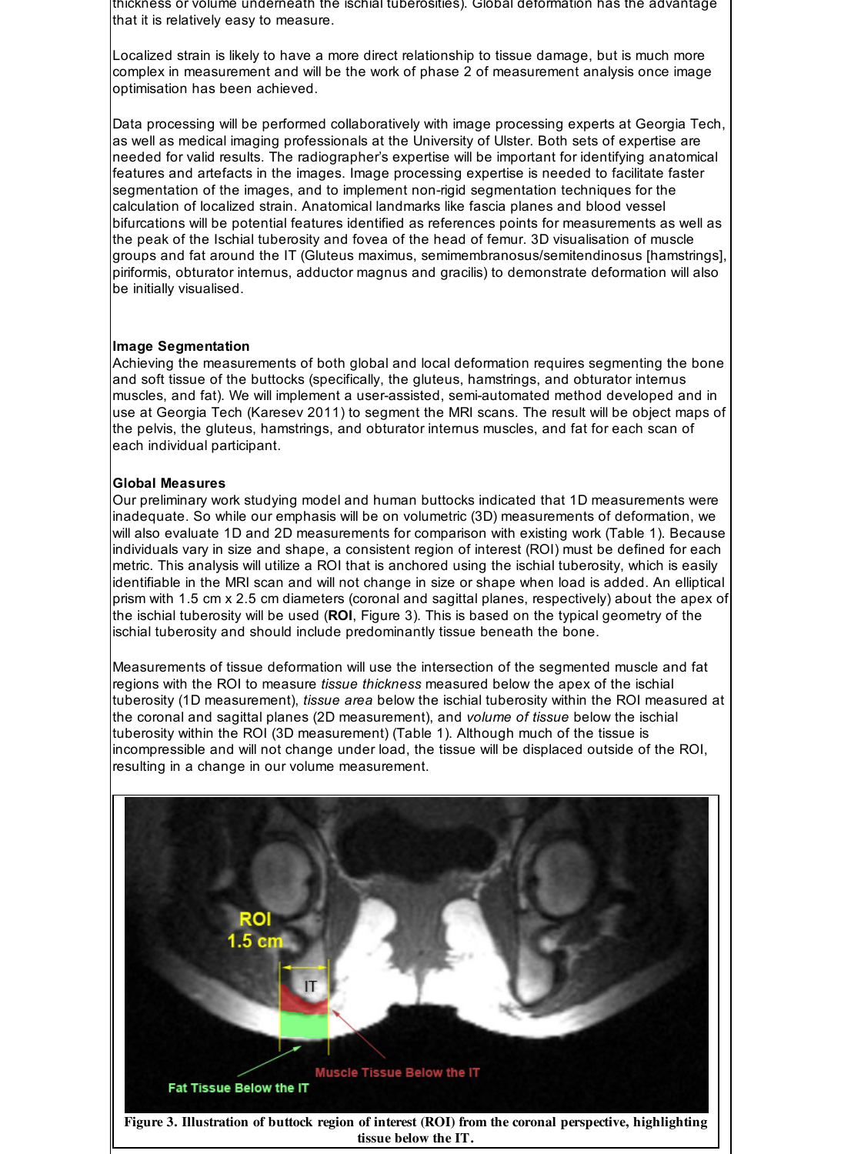thickness or volume underneath the ischial tuberosities). Global deformation has the advantage that it is relatively easy to measure.

Localized strain is likely to have a more direct relationship to tissue damage, but is much more complex in measurement and will be the work of phase 2 of measurement analysis once image optimisation has been achieved.

Data processing will be performed collaboratively with image processing experts at Georgia Tech, as well as medical imaging professionals at the University of Ulster. Both sets of expertise are needed for valid results. The radiographer's expertise will be important for identifying anatomical features and artefacts in the images. Image processing expertise is needed to facilitate faster segmentation of the images, and to implement non-rigid segmentation techniques for the calculation of localized strain. Anatomical landmarks like fascia planes and blood vessel bifurcations will be potential features identified as references points for measurements as well as the peak of the Ischial tuberosity and fovea of the head of femur. 3D visualisation of muscle groups and fat around the IT (Gluteus maximus, semimembranosus/semitendinosus [hamstrings], piriformis, obturator internus, adductor magnus and gracilis) to demonstrate deformation will also be initially visualised.

### **Image Segmentation**

Achieving the measurements of both global and local deformation requires segmenting the bone and soft tissue of the buttocks (specifically, the gluteus, hamstrings, and obturator internus muscles, and fat). We will implement a user-assisted, semi-automated method developed and in use at Georgia Tech (Karesev 2011) to segment the MRI scans. The result will be object maps of the pelvis, the gluteus, hamstrings, and obturator internus muscles, and fat for each scan of each individual participant.

## **Global Measures**

Our preliminary work studying model and human buttocks indicated that 1D measurements were inadequate. So while our emphasis will be on volumetric (3D) measurements of deformation, we will also evaluate 1D and 2D measurements for comparison with existing work (Table 1). Because individuals vary in size and shape, a consistent region of interest (ROI) must be defined for each metric. This analysis will utilize a ROI that is anchored using the ischial tuberosity, which is easily identifiable in the MRI scan and will not change in size or shape when load is added. An elliptical prism with 1.5 cm x 2.5 cm diameters (coronal and sagittal planes, respectively) about the apex of the ischial tuberosity will be used (**ROI**, Figure 3). This is based on the typical geometry of the ischial tuberosity and should include predominantly tissue beneath the bone.

Measurements of tissue deformation will use the intersection of the segmented muscle and fat regions with the ROI to measure *tissue thickness* measured below the apex of the ischial tuberosity (1D measurement), *tissue area* below the ischial tuberosity within the ROI measured at the coronal and sagittal planes (2D measurement), and *volume of tissue* below the ischial tuberosity within the ROI (3D measurement) (Table 1). Although much of the tissue is incompressible and will not change under load, the tissue will be displaced outside of the ROI, resulting in a change in our volume measurement.

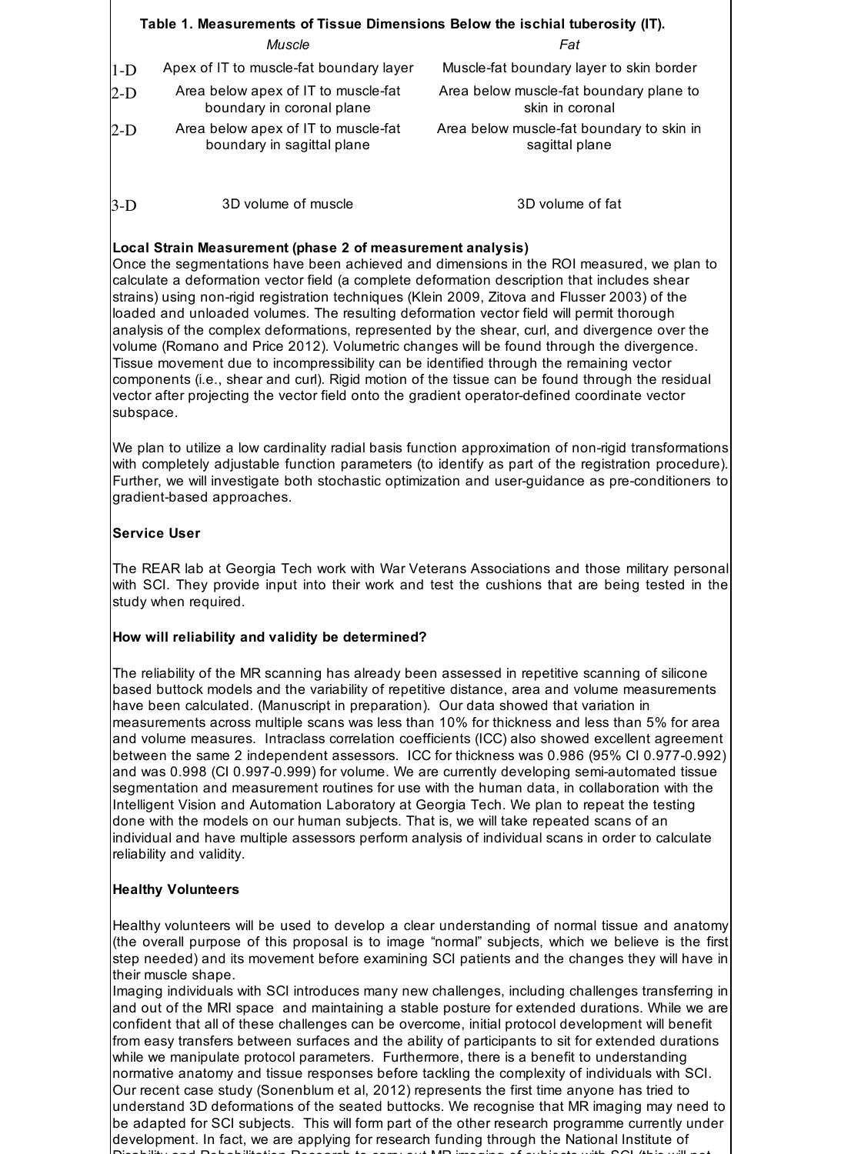| Table 1. Measurements of Tissue Dimensions Below the ischial tuberosity (IT). |                                                                   |                                                             |  |  |  |
|-------------------------------------------------------------------------------|-------------------------------------------------------------------|-------------------------------------------------------------|--|--|--|
|                                                                               | Muscle                                                            | Fat                                                         |  |  |  |
| $1-D$                                                                         | Apex of IT to muscle-fat boundary layer                           | Muscle-fat boundary layer to skin border                    |  |  |  |
| $2-D$                                                                         | Area below apex of IT to muscle-fat<br>boundary in coronal plane  | Area below muscle-fat boundary plane to<br>skin in coronal  |  |  |  |
| $2-D$                                                                         | Area below apex of IT to muscle-fat<br>boundary in sagittal plane | Area below muscle-fat boundary to skin in<br>sagittal plane |  |  |  |
| $3-D$                                                                         | 3D volume of muscle                                               | 3D volume of fat                                            |  |  |  |

# **Local Strain Measurement (phase 2 of measurement analysis)**

Once the segmentations have been achieved and dimensions in the ROI measured, we plan to calculate a deformation vector field (a complete deformation description that includes shear strains) using non-rigid registration techniques (Klein 2009, Zitova and Flusser 2003) of the loaded and unloaded volumes. The resulting deformation vector field will permit thorough analysis of the complex deformations, represented by the shear, curl, and divergence over the volume (Romano and Price 2012). Volumetric changes will be found through the divergence. Tissue movement due to incompressibility can be identified through the remaining vector components (i.e., shear and curl). Rigid motion of the tissue can be found through the residual vector after projecting the vector field onto the gradient operator-defined coordinate vector subspace.

We plan to utilize a low cardinality radial basis function approximation of non-rigid transformations with completely adjustable function parameters (to identify as part of the registration procedure). Further, we will investigate both stochastic optimization and user-guidance as pre-conditioners to gradient-based approaches.

# **Service User**

The REAR lab at Georgia Tech work with War Veterans Associations and those military personal with SCI. They provide input into their work and test the cushions that are being tested in the study when required.

# **How will reliability and validity be determined?**

The reliability of the MR scanning has already been assessed in repetitive scanning of silicone based buttock models and the variability of repetitive distance, area and volume measurements have been calculated. (Manuscript in preparation). Our data showed that variation in measurements across multiple scans was less than 10% for thickness and less than 5% for area and volume measures. Intraclass correlation coefficients (ICC) also showed excellent agreement between the same 2 independent assessors. ICC for thickness was 0.986 (95% CI 0.977-0.992) and was 0.998 (CI 0.997-0.999) for volume. We are currently developing semi-automated tissue segmentation and measurement routines for use with the human data, in collaboration with the Intelligent Vision and Automation Laboratory at Georgia Tech. We plan to repeat the testing done with the models on our human subjects. That is, we will take repeated scans of an individual and have multiple assessors perform analysis of individual scans in order to calculate reliability and validity.

# **Healthy Volunteers**

Healthy volunteers will be used to develop a clear understanding of normal tissue and anatomy (the overall purpose of this proposal is to image "normal" subjects, which we believe is the first step needed) and its movement before examining SCI patients and the changes they will have in their muscle shape.

Imaging individuals with SCI introduces many new challenges, including challenges transferring in and out of the MRI space and maintaining a stable posture for extended durations. While we are confident that all of these challenges can be overcome, initial protocol development will benefit from easy transfers between surfaces and the ability of participants to sit for extended durations while we manipulate protocol parameters. Furthermore, there is a benefit to understanding normative anatomy and tissue responses before tackling the complexity of individuals with SCI. Our recent case study (Sonenblum et al, 2012) represents the first time anyone has tried to understand 3D deformations of the seated buttocks. We recognise that MR imaging may need to be adapted for SCI subjects. This will form part of the other research programme currently under development. In fact, we are applying for research funding through the National Institute of Disability and Rehabilitation Research to carry out MR imaging of subjects with SCI (this will not